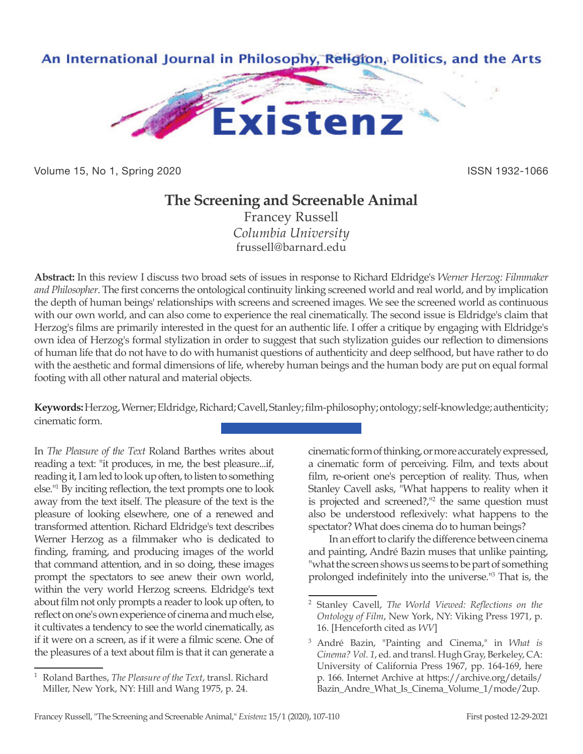

Volume 15, No 1, Spring 2020 **ISSN 1932-1066** ISSN 1932-1066

## **The Screening and Screenable Animal**

Francey Russell *Columbia University* frussell@barnard.edu

**Abstract:** In this review I discuss two broad sets of issues in response to Richard Eldridge's *Werner Herzog: Filmmaker and Philosopher*. The first concerns the ontological continuity linking screened world and real world, and by implication the depth of human beings' relationships with screens and screened images. We see the screened world as continuous with our own world, and can also come to experience the real cinematically. The second issue is Eldridge's claim that Herzog's films are primarily interested in the quest for an authentic life. I offer a critique by engaging with Eldridge's own idea of Herzog's formal stylization in order to suggest that such stylization guides our reflection to dimensions of human life that do not have to do with humanist questions of authenticity and deep selfhood, but have rather to do with the aesthetic and formal dimensions of life, whereby human beings and the human body are put on equal formal footing with all other natural and material objects.

**Keywords:** Herzog, Werner; Eldridge, Richard; Cavell, Stanley; film-philosophy; ontology; self-knowledge; authenticity; cinematic form.

In *The Pleasure of the Text* Roland Barthes writes about reading a text: "it produces, in me, the best pleasure...if, reading it, I am led to look up often, to listen to something else."1 By inciting reflection, the text prompts one to look away from the text itself. The pleasure of the text is the pleasure of looking elsewhere, one of a renewed and transformed attention. Richard Eldridge's text describes Werner Herzog as a filmmaker who is dedicated to finding, framing, and producing images of the world that command attention, and in so doing, these images prompt the spectators to see anew their own world, within the very world Herzog screens. Eldridge's text about film not only prompts a reader to look up often, to reflect on one's own experience of cinema and much else, it cultivates a tendency to see the world cinematically, as if it were on a screen, as if it were a filmic scene. One of the pleasures of a text about film is that it can generate a

cinematic form of thinking, or more accurately expressed, a cinematic form of perceiving. Film, and texts about film, re-orient one's perception of reality. Thus, when Stanley Cavell asks, "What happens to reality when it is projected and screened?,"<sup>2</sup> the same question must also be understood reflexively: what happens to the spectator? What does cinema do to human beings?

In an effort to clarify the difference between cinema and painting, André Bazin muses that unlike painting, "what the screen shows us seems to be part of something prolonged indefinitely into the universe."<sup>3</sup> That is, the

<sup>1</sup> Roland Barthes, *The Pleasure of the Text*, transl. Richard Miller, New York, NY: Hill and Wang 1975, p. 24.

<sup>2</sup> Stanley Cavell, *The World Viewed: Reflections on the Ontology of Film*, New York, NY: Viking Press 1971, p. 16. [Henceforth cited as *WV*]

<sup>3</sup> André Bazin, "Painting and Cinema," in *What is Cinema? Vol. 1*, ed. and transl. Hugh Gray, Berkeley, CA: University of California Press 1967, pp. 164-169, here p. 166. Internet Archive at https://archive.org/details/ Bazin\_Andre\_What\_Is\_Cinema\_Volume\_1/mode/2up.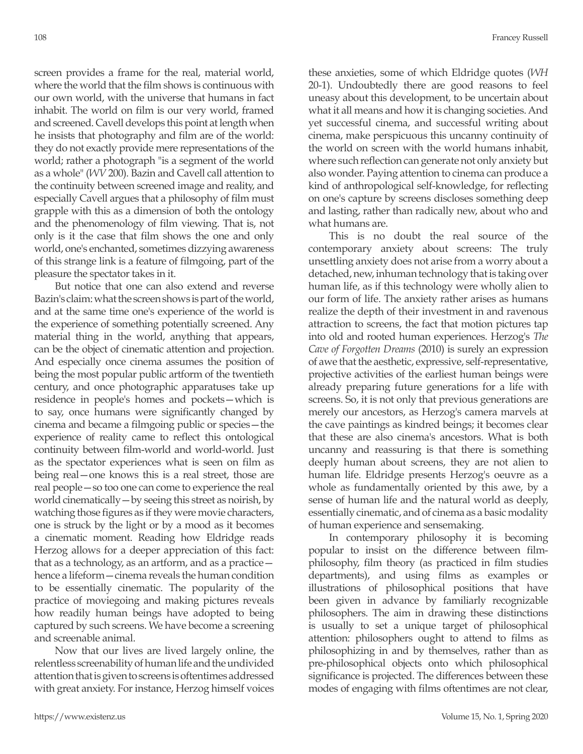screen provides a frame for the real, material world, where the world that the film shows is continuous with our own world, with the universe that humans in fact inhabit. The world on film is our very world, framed and screened. Cavell develops this point at length when he insists that photography and film are of the world: they do not exactly provide mere representations of the world; rather a photograph "is a segment of the world as a whole" (*WV* 200). Bazin and Cavell call attention to the continuity between screened image and reality, and especially Cavell argues that a philosophy of film must grapple with this as a dimension of both the ontology and the phenomenology of film viewing. That is, not only is it the case that film shows the one and only world, one's enchanted, sometimes dizzying awareness of this strange link is a feature of filmgoing, part of the pleasure the spectator takes in it.

But notice that one can also extend and reverse Bazin's claim: what the screen shows is part of the world, and at the same time one's experience of the world is the experience of something potentially screened. Any material thing in the world, anything that appears, can be the object of cinematic attention and projection. And especially once cinema assumes the position of being the most popular public artform of the twentieth century, and once photographic apparatuses take up residence in people's homes and pockets—which is to say, once humans were significantly changed by cinema and became a filmgoing public or species—the experience of reality came to reflect this ontological continuity between film-world and world-world. Just as the spectator experiences what is seen on film as being real—one knows this is a real street, those are real people—so too one can come to experience the real world cinematically—by seeing this street as noirish, by watching those figures as if they were movie characters, one is struck by the light or by a mood as it becomes a cinematic moment. Reading how Eldridge reads Herzog allows for a deeper appreciation of this fact: that as a technology, as an artform, and as a practice hence a lifeform—cinema reveals the human condition to be essentially cinematic. The popularity of the practice of moviegoing and making pictures reveals how readily human beings have adopted to being captured by such screens. We have become a screening and screenable animal.

Now that our lives are lived largely online, the relentless screenability of human life and the undivided attention that is given to screens is oftentimes addressed with great anxiety. For instance, Herzog himself voices

these anxieties, some of which Eldridge quotes (*WH* 20-1). Undoubtedly there are good reasons to feel uneasy about this development, to be uncertain about what it all means and how it is changing societies. And yet successful cinema, and successful writing about cinema, make perspicuous this uncanny continuity of the world on screen with the world humans inhabit, where such reflection can generate not only anxiety but also wonder. Paying attention to cinema can produce a kind of anthropological self-knowledge, for reflecting on one's capture by screens discloses something deep and lasting, rather than radically new, about who and what humans are.

This is no doubt the real source of the contemporary anxiety about screens: The truly unsettling anxiety does not arise from a worry about a detached, new, inhuman technology that is taking over human life, as if this technology were wholly alien to our form of life. The anxiety rather arises as humans realize the depth of their investment in and ravenous attraction to screens, the fact that motion pictures tap into old and rooted human experiences. Herzog's *The Cave of Forgotten Dreams* (2010) is surely an expression of awe that the aesthetic, expressive, self-representative, projective activities of the earliest human beings were already preparing future generations for a life with screens. So, it is not only that previous generations are merely our ancestors, as Herzog's camera marvels at the cave paintings as kindred beings; it becomes clear that these are also cinema's ancestors. What is both uncanny and reassuring is that there is something deeply human about screens, they are not alien to human life. Eldridge presents Herzog's oeuvre as a whole as fundamentally oriented by this awe, by a sense of human life and the natural world as deeply, essentially cinematic, and of cinema as a basic modality of human experience and sensemaking.

In contemporary philosophy it is becoming popular to insist on the difference between filmphilosophy, film theory (as practiced in film studies departments), and using films as examples or illustrations of philosophical positions that have been given in advance by familiarly recognizable philosophers. The aim in drawing these distinctions is usually to set a unique target of philosophical attention: philosophers ought to attend to films as philosophizing in and by themselves, rather than as pre-philosophical objects onto which philosophical significance is projected. The differences between these modes of engaging with films oftentimes are not clear,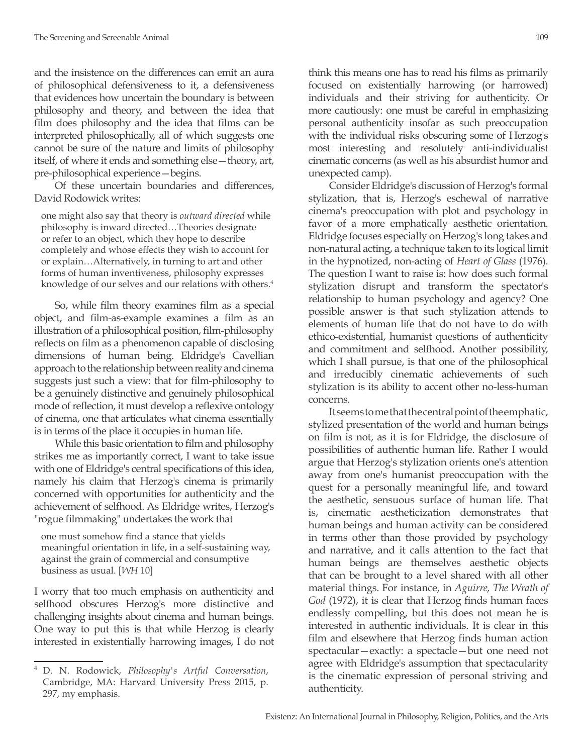and the insistence on the differences can emit an aura of philosophical defensiveness to it, a defensiveness that evidences how uncertain the boundary is between philosophy and theory, and between the idea that film does philosophy and the idea that films can be interpreted philosophically, all of which suggests one cannot be sure of the nature and limits of philosophy itself, of where it ends and something else—theory, art, pre-philosophical experience—begins.

Of these uncertain boundaries and differences, David Rodowick writes:

one might also say that theory is *outward directed* while philosophy is inward directed…Theories designate or refer to an object, which they hope to describe completely and whose effects they wish to account for or explain…Alternatively, in turning to art and other forms of human inventiveness, philosophy expresses knowledge of our selves and our relations with others.<sup>4</sup>

So, while film theory examines film as a special object, and film-as-example examines a film as an illustration of a philosophical position, film-philosophy reflects on film as a phenomenon capable of disclosing dimensions of human being. Eldridge's Cavellian approach to the relationship between reality and cinema suggests just such a view: that for film-philosophy to be a genuinely distinctive and genuinely philosophical mode of reflection, it must develop a reflexive ontology of cinema, one that articulates what cinema essentially is in terms of the place it occupies in human life.

While this basic orientation to film and philosophy strikes me as importantly correct, I want to take issue with one of Eldridge's central specifications of this idea, namely his claim that Herzog's cinema is primarily concerned with opportunities for authenticity and the achievement of selfhood. As Eldridge writes, Herzog's "rogue filmmaking" undertakes the work that

one must somehow find a stance that yields meaningful orientation in life, in a self-sustaining way, against the grain of commercial and consumptive business as usual. [*WH* 10]

I worry that too much emphasis on authenticity and selfhood obscures Herzog's more distinctive and challenging insights about cinema and human beings. One way to put this is that while Herzog is clearly interested in existentially harrowing images, I do not think this means one has to read his films as primarily focused on existentially harrowing (or harrowed) individuals and their striving for authenticity. Or more cautiously: one must be careful in emphasizing personal authenticity insofar as such preoccupation with the individual risks obscuring some of Herzog's most interesting and resolutely anti-individualist cinematic concerns (as well as his absurdist humor and unexpected camp).

Consider Eldridge's discussion of Herzog's formal stylization, that is, Herzog's eschewal of narrative cinema's preoccupation with plot and psychology in favor of a more emphatically aesthetic orientation. Eldridge focuses especially on Herzog's long takes and non-natural acting, a technique taken to its logical limit in the hypnotized, non-acting of *Heart of Glass* (1976). The question I want to raise is: how does such formal stylization disrupt and transform the spectator's relationship to human psychology and agency? One possible answer is that such stylization attends to elements of human life that do not have to do with ethico-existential, humanist questions of authenticity and commitment and selfhood. Another possibility, which I shall pursue, is that one of the philosophical and irreducibly cinematic achievements of such stylization is its ability to accent other no-less-human concerns.

It seems to me that the central point of the emphatic, stylized presentation of the world and human beings on film is not, as it is for Eldridge, the disclosure of possibilities of authentic human life. Rather I would argue that Herzog's stylization orients one's attention away from one's humanist preoccupation with the quest for a personally meaningful life, and toward the aesthetic, sensuous surface of human life. That is, cinematic aestheticization demonstrates that human beings and human activity can be considered in terms other than those provided by psychology and narrative, and it calls attention to the fact that human beings are themselves aesthetic objects that can be brought to a level shared with all other material things. For instance, in *Aguirre, The Wrath of God* (1972), it is clear that Herzog finds human faces endlessly compelling, but this does not mean he is interested in authentic individuals. It is clear in this film and elsewhere that Herzog finds human action spectacular—exactly: a spectacle—but one need not agree with Eldridge's assumption that spectacularity is the cinematic expression of personal striving and authenticity.

<sup>4</sup> D. N. Rodowick, *Philosophy's Artful Conversation*, Cambridge, MA: Harvard University Press 2015, p. 297, my emphasis.